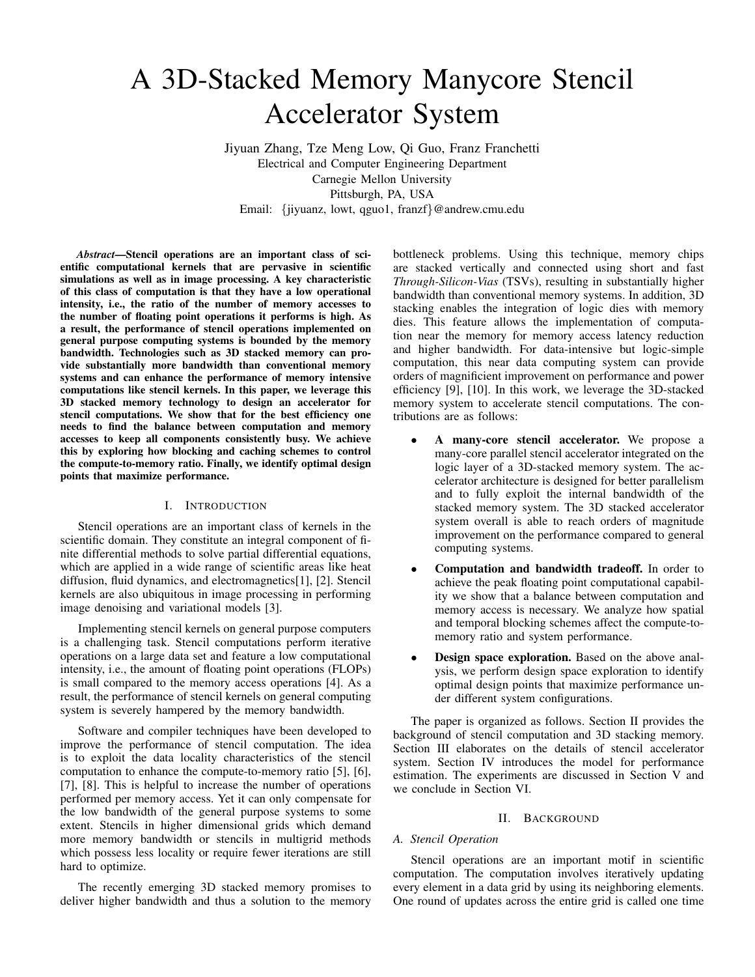# A 3D-Stacked Memory Manycore Stencil Accelerator System

Jiyuan Zhang, Tze Meng Low, Qi Guo, Franz Franchetti Electrical and Computer Engineering Department Carnegie Mellon University Pittsburgh, PA, USA Email: {jiyuanz, lowt, qguo1, franzf}@andrew.cmu.edu

*Abstract*—Stencil operations are an important class of scientific computational kernels that are pervasive in scientific simulations as well as in image processing. A key characteristic of this class of computation is that they have a low operational intensity, i.e., the ratio of the number of memory accesses to the number of floating point operations it performs is high. As a result, the performance of stencil operations implemented on general purpose computing systems is bounded by the memory bandwidth. Technologies such as 3D stacked memory can provide substantially more bandwidth than conventional memory systems and can enhance the performance of memory intensive computations like stencil kernels. In this paper, we leverage this 3D stacked memory technology to design an accelerator for stencil computations. We show that for the best efficiency one needs to find the balance between computation and memory accesses to keep all components consistently busy. We achieve this by exploring how blocking and caching schemes to control the compute-to-memory ratio. Finally, we identify optimal design points that maximize performance.

## I. INTRODUCTION

Stencil operations are an important class of kernels in the scientific domain. They constitute an integral component of finite differential methods to solve partial differential equations, which are applied in a wide range of scientific areas like heat diffusion, fluid dynamics, and electromagnetics[1], [2]. Stencil kernels are also ubiquitous in image processing in performing image denoising and variational models [3].

Implementing stencil kernels on general purpose computers is a challenging task. Stencil computations perform iterative operations on a large data set and feature a low computational intensity, i.e., the amount of floating point operations (FLOPs) is small compared to the memory access operations [4]. As a result, the performance of stencil kernels on general computing system is severely hampered by the memory bandwidth.

Software and compiler techniques have been developed to improve the performance of stencil computation. The idea is to exploit the data locality characteristics of the stencil computation to enhance the compute-to-memory ratio [5], [6], [7], [8]. This is helpful to increase the number of operations performed per memory access. Yet it can only compensate for the low bandwidth of the general purpose systems to some extent. Stencils in higher dimensional grids which demand more memory bandwidth or stencils in multigrid methods which possess less locality or require fewer iterations are still hard to optimize.

The recently emerging 3D stacked memory promises to deliver higher bandwidth and thus a solution to the memory bottleneck problems. Using this technique, memory chips are stacked vertically and connected using short and fast *Through-Silicon-Vias* (TSVs), resulting in substantially higher bandwidth than conventional memory systems. In addition, 3D stacking enables the integration of logic dies with memory dies. This feature allows the implementation of computation near the memory for memory access latency reduction and higher bandwidth. For data-intensive but logic-simple computation, this near data computing system can provide orders of magnificient improvement on performance and power efficiency [9], [10]. In this work, we leverage the 3D-stacked memory system to accelerate stencil computations. The contributions are as follows:

- A many-core stencil accelerator. We propose a many-core parallel stencil accelerator integrated on the logic layer of a 3D-stacked memory system. The accelerator architecture is designed for better parallelism and to fully exploit the internal bandwidth of the stacked memory system. The 3D stacked accelerator system overall is able to reach orders of magnitude improvement on the performance compared to general computing systems.
- Computation and bandwidth tradeoff. In order to achieve the peak floating point computational capability we show that a balance between computation and memory access is necessary. We analyze how spatial and temporal blocking schemes affect the compute-tomemory ratio and system performance.
- **Design space exploration.** Based on the above analysis, we perform design space exploration to identify optimal design points that maximize performance under different system configurations.

The paper is organized as follows. Section II provides the background of stencil computation and 3D stacking memory. Section III elaborates on the details of stencil accelerator system. Section IV introduces the model for performance estimation. The experiments are discussed in Section V and we conclude in Section VI.

## II. BACKGROUND

## *A. Stencil Operation*

Stencil operations are an important motif in scientific computation. The computation involves iteratively updating every element in a data grid by using its neighboring elements. One round of updates across the entire grid is called one time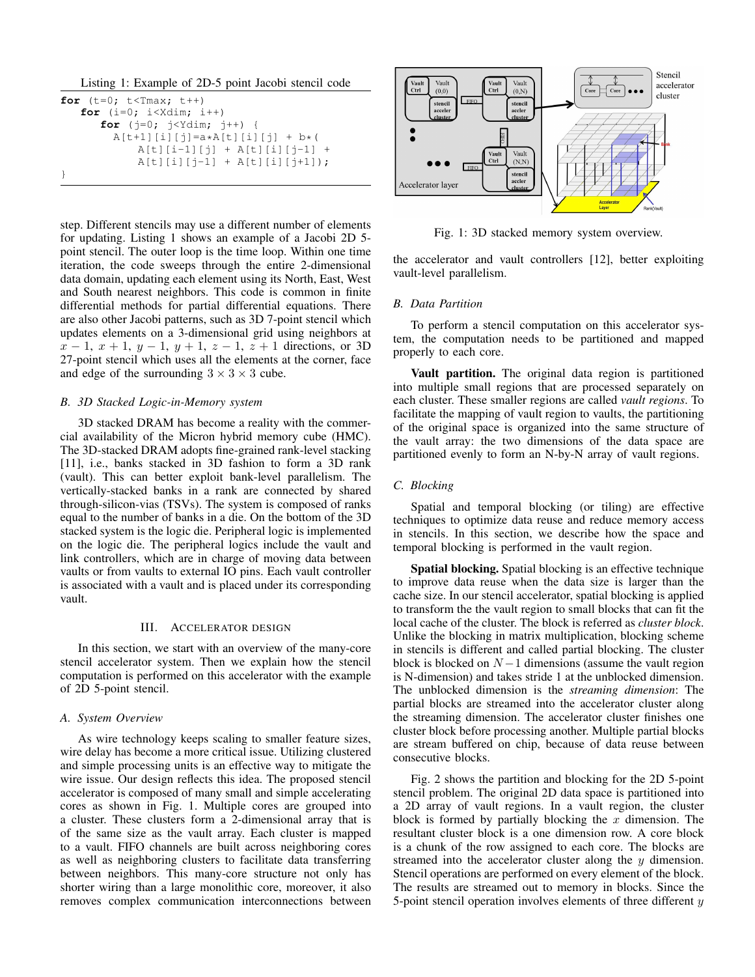Listing 1: Example of 2D-5 point Jacobi stencil code

| for (t=0; t <tmax; t++)<="" th=""></tmax;>  |
|---------------------------------------------|
| <b>for</b> $(i=0; i < Xdim; i++)$           |
| <b>for</b> $(i=0; j {$                      |
| $A[t+1][i][\dagger]=a*A[t][i][\dagger]+b*($ |
| $A[t][i-1][i] + A[t][i][i-1] +$             |
| $A[t][i][j-1] + A[t][i][j+1]),$             |
|                                             |

step. Different stencils may use a different number of elements for updating. Listing 1 shows an example of a Jacobi 2D 5 point stencil. The outer loop is the time loop. Within one time iteration, the code sweeps through the entire 2-dimensional data domain, updating each element using its North, East, West and South nearest neighbors. This code is common in finite differential methods for partial differential equations. There are also other Jacobi patterns, such as 3D 7-point stencil which updates elements on a 3-dimensional grid using neighbors at  $x - 1$ ,  $x + 1$ ,  $y - 1$ ,  $y + 1$ ,  $z - 1$ ,  $z + 1$  directions, or 3D 27-point stencil which uses all the elements at the corner, face and edge of the surrounding  $3 \times 3 \times 3$  cube.

#### *B. 3D Stacked Logic-in-Memory system*

3D stacked DRAM has become a reality with the commercial availability of the Micron hybrid memory cube (HMC). The 3D-stacked DRAM adopts fine-grained rank-level stacking [11], i.e., banks stacked in 3D fashion to form a 3D rank (vault). This can better exploit bank-level parallelism. The vertically-stacked banks in a rank are connected by shared through-silicon-vias (TSVs). The system is composed of ranks equal to the number of banks in a die. On the bottom of the 3D stacked system is the logic die. Peripheral logic is implemented on the logic die. The peripheral logics include the vault and link controllers, which are in charge of moving data between vaults or from vaults to external IO pins. Each vault controller is associated with a vault and is placed under its corresponding vault.

#### III. ACCELERATOR DESIGN

In this section, we start with an overview of the many-core stencil accelerator system. Then we explain how the stencil computation is performed on this accelerator with the example of 2D 5-point stencil.

#### *A. System Overview*

As wire technology keeps scaling to smaller feature sizes, wire delay has become a more critical issue. Utilizing clustered and simple processing units is an effective way to mitigate the wire issue. Our design reflects this idea. The proposed stencil accelerator is composed of many small and simple accelerating cores as shown in Fig. 1. Multiple cores are grouped into a cluster. These clusters form a 2-dimensional array that is of the same size as the vault array. Each cluster is mapped to a vault. FIFO channels are built across neighboring cores as well as neighboring clusters to facilitate data transferring between neighbors. This many-core structure not only has shorter wiring than a large monolithic core, moreover, it also removes complex communication interconnections between



Fig. 1: 3D stacked memory system overview.

the accelerator and vault controllers [12], better exploiting vault-level parallelism.

#### *B. Data Partition*

To perform a stencil computation on this accelerator system, the computation needs to be partitioned and mapped properly to each core.

Vault partition. The original data region is partitioned into multiple small regions that are processed separately on each cluster. These smaller regions are called *vault regions*. To facilitate the mapping of vault region to vaults, the partitioning of the original space is organized into the same structure of the vault array: the two dimensions of the data space are partitioned evenly to form an N-by-N array of vault regions.

#### *C. Blocking*

Spatial and temporal blocking (or tiling) are effective techniques to optimize data reuse and reduce memory access in stencils. In this section, we describe how the space and temporal blocking is performed in the vault region.

Spatial blocking. Spatial blocking is an effective technique to improve data reuse when the data size is larger than the cache size. In our stencil accelerator, spatial blocking is applied to transform the the vault region to small blocks that can fit the local cache of the cluster. The block is referred as *cluster block*. Unlike the blocking in matrix multiplication, blocking scheme in stencils is different and called partial blocking. The cluster block is blocked on  $N-1$  dimensions (assume the vault region is N-dimension) and takes stride 1 at the unblocked dimension. The unblocked dimension is the *streaming dimension*: The partial blocks are streamed into the accelerator cluster along the streaming dimension. The accelerator cluster finishes one cluster block before processing another. Multiple partial blocks are stream buffered on chip, because of data reuse between consecutive blocks.

Fig. 2 shows the partition and blocking for the 2D 5-point stencil problem. The original 2D data space is partitioned into a 2D array of vault regions. In a vault region, the cluster block is formed by partially blocking the  $x$  dimension. The resultant cluster block is a one dimension row. A core block is a chunk of the row assigned to each core. The blocks are streamed into the accelerator cluster along the y dimension. Stencil operations are performed on every element of the block. The results are streamed out to memory in blocks. Since the 5-point stencil operation involves elements of three different  $y$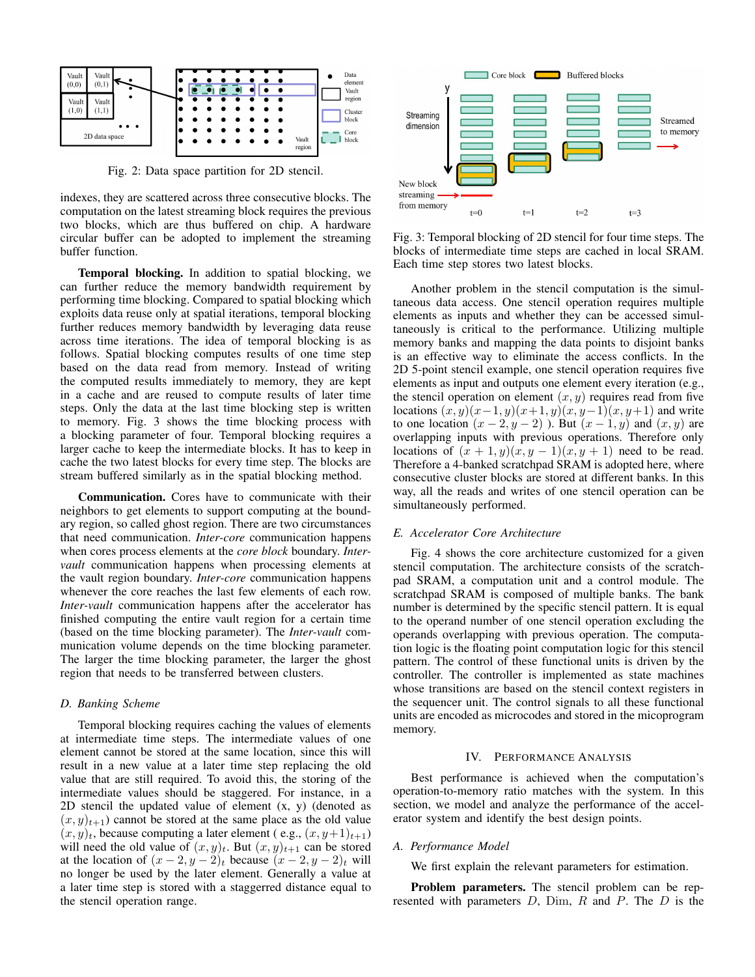

Fig. 2: Data space partition for 2D stencil.

indexes, they are scattered across three consecutive blocks. The computation on the latest streaming block requires the previous two blocks, which are thus buffered on chip. A hardware circular buffer can be adopted to implement the streaming buffer function.

Temporal blocking. In addition to spatial blocking, we can further reduce the memory bandwidth requirement by performing time blocking. Compared to spatial blocking which exploits data reuse only at spatial iterations, temporal blocking further reduces memory bandwidth by leveraging data reuse across time iterations. The idea of temporal blocking is as follows. Spatial blocking computes results of one time step based on the data read from memory. Instead of writing the computed results immediately to memory, they are kept in a cache and are reused to compute results of later time steps. Only the data at the last time blocking step is written to memory. Fig. 3 shows the time blocking process with a blocking parameter of four. Temporal blocking requires a larger cache to keep the intermediate blocks. It has to keep in cache the two latest blocks for every time step. The blocks are stream buffered similarly as in the spatial blocking method.

Communication. Cores have to communicate with their neighbors to get elements to support computing at the boundary region, so called ghost region. There are two circumstances that need communication. *Inter-core* communication happens when cores process elements at the *core block* boundary. *Intervault* communication happens when processing elements at the vault region boundary. *Inter-core* communication happens whenever the core reaches the last few elements of each row. *Inter-vault* communication happens after the accelerator has finished computing the entire vault region for a certain time (based on the time blocking parameter). The *Inter-vault* communication volume depends on the time blocking parameter. The larger the time blocking parameter, the larger the ghost region that needs to be transferred between clusters.

## *D. Banking Scheme*

Temporal blocking requires caching the values of elements at intermediate time steps. The intermediate values of one element cannot be stored at the same location, since this will result in a new value at a later time step replacing the old value that are still required. To avoid this, the storing of the intermediate values should be staggered. For instance, in a 2D stencil the updated value of element (x, y) (denoted as  $(x, y)_{t+1}$  cannot be stored at the same place as the old value  $(x, y)_t$ , because computing a later element (e.g.,  $(x, y+1)_{t+1}$ ) will need the old value of  $(x, y)_t$ . But  $(x, y)_{t+1}$  can be stored at the location of  $(x - 2, y - 2)_t$  because  $(x - 2, y - 2)_t$  will no longer be used by the later element. Generally a value at a later time step is stored with a staggerred distance equal to the stencil operation range.



Fig. 3: Temporal blocking of 2D stencil for four time steps. The blocks of intermediate time steps are cached in local SRAM. Each time step stores two latest blocks.

Another problem in the stencil computation is the simultaneous data access. One stencil operation requires multiple elements as inputs and whether they can be accessed simultaneously is critical to the performance. Utilizing multiple memory banks and mapping the data points to disjoint banks is an effective way to eliminate the access conflicts. In the 2D 5-point stencil example, one stencil operation requires five elements as input and outputs one element every iteration (e.g., the stencil operation on element  $(x, y)$  requires read from five locations  $(x, y)(x-1, y)(x+1, y)(x, y-1)(x, y+1)$  and write to one location  $(x - 2, y - 2)$ ). But  $(x - 1, y)$  and  $(x, y)$  are overlapping inputs with previous operations. Therefore only locations of  $(x + 1, y)(x, y - 1)(x, y + 1)$  need to be read. Therefore a 4-banked scratchpad SRAM is adopted here, where consecutive cluster blocks are stored at different banks. In this way, all the reads and writes of one stencil operation can be simultaneously performed.

#### *E. Accelerator Core Architecture*

Fig. 4 shows the core architecture customized for a given stencil computation. The architecture consists of the scratchpad SRAM, a computation unit and a control module. The scratchpad SRAM is composed of multiple banks. The bank number is determined by the specific stencil pattern. It is equal to the operand number of one stencil operation excluding the operands overlapping with previous operation. The computation logic is the floating point computation logic for this stencil pattern. The control of these functional units is driven by the controller. The controller is implemented as state machines whose transitions are based on the stencil context registers in the sequencer unit. The control signals to all these functional units are encoded as microcodes and stored in the micoprogram memory.

#### IV. PERFORMANCE ANALYSIS

Best performance is achieved when the computation's operation-to-memory ratio matches with the system. In this section, we model and analyze the performance of the accelerator system and identify the best design points.

### *A. Performance Model*

We first explain the relevant parameters for estimation.

Problem parameters. The stencil problem can be represented with parameters  $D$ ,  $Dim$ ,  $R$  and  $P$ . The  $D$  is the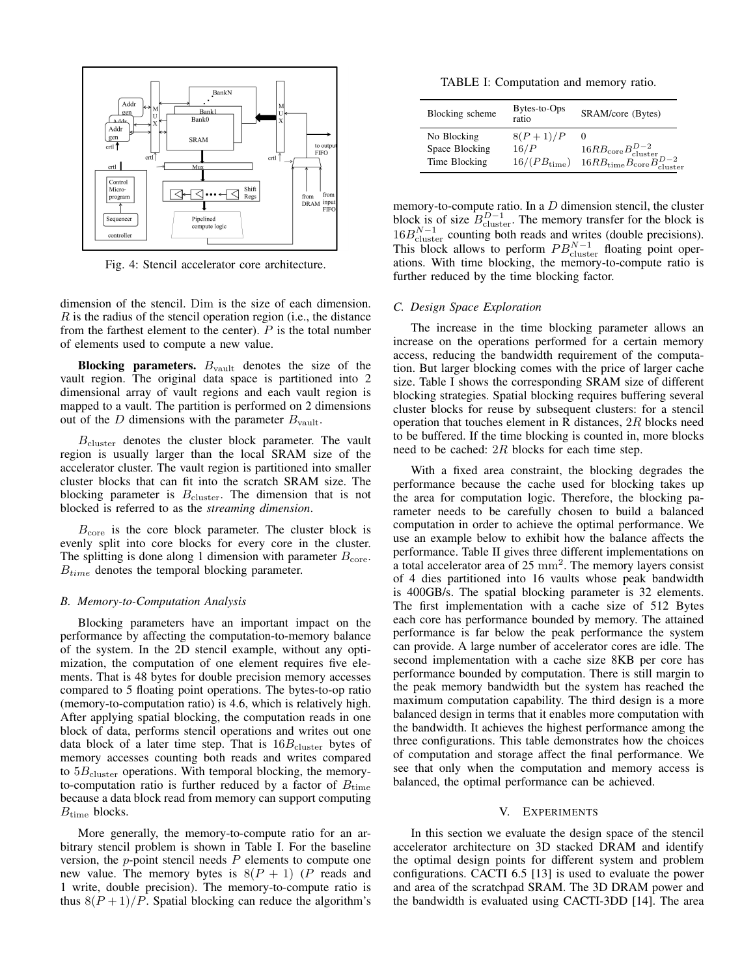

Fig. 4: Stencil accelerator core architecture.

dimension of the stencil. Dim is the size of each dimension.  $R$  is the radius of the stencil operation region (i.e., the distance from the farthest element to the center).  $P$  is the total number of elements used to compute a new value.

**Blocking parameters.**  $B_{\text{vault}}$  denotes the size of the vault region. The original data space is partitioned into 2 dimensional array of vault regions and each vault region is mapped to a vault. The partition is performed on 2 dimensions out of the  $D$  dimensions with the parameter  $B_{\text{vault}}$ .

 $B<sub>cluster</sub>$  denotes the cluster block parameter. The vault region is usually larger than the local SRAM size of the accelerator cluster. The vault region is partitioned into smaller cluster blocks that can fit into the scratch SRAM size. The blocking parameter is  $B_{\text{cluster}}$ . The dimension that is not blocked is referred to as the *streaming dimension*.

 $B_{\text{core}}$  is the core block parameter. The cluster block is evenly split into core blocks for every core in the cluster. The splitting is done along 1 dimension with parameter  $B_{\text{core}}$ .  $B_{time}$  denotes the temporal blocking parameter.

#### *B. Memory-to-Computation Analysis*

Blocking parameters have an important impact on the performance by affecting the computation-to-memory balance of the system. In the 2D stencil example, without any optimization, the computation of one element requires five elements. That is 48 bytes for double precision memory accesses compared to 5 floating point operations. The bytes-to-op ratio (memory-to-computation ratio) is 4.6, which is relatively high. After applying spatial blocking, the computation reads in one block of data, performs stencil operations and writes out one data block of a later time step. That is  $16B_{\text{cluster}}$  bytes of memory accesses counting both reads and writes compared to  $5B_{\text{cluster}}$  operations. With temporal blocking, the memoryto-computation ratio is further reduced by a factor of  $B_{time}$ because a data block read from memory can support computing  $B_{time}$  blocks.

More generally, the memory-to-compute ratio for an arbitrary stencil problem is shown in Table I. For the baseline version, the  $p$ -point stencil needs  $P$  elements to compute one new value. The memory bytes is  $8(P + 1)$  (P reads and 1 write, double precision). The memory-to-compute ratio is thus  $8(P+1)/P$ . Spatial blocking can reduce the algorithm's

TABLE I: Computation and memory ratio.

| Blocking scheme | Bytes-to-Ops<br>ratio | SRAM/core (Bytes)                                                                                                                     |
|-----------------|-----------------------|---------------------------------------------------------------------------------------------------------------------------------------|
| No Blocking     | $8(P+1)/P$            | $\mathbf{\Omega}$                                                                                                                     |
| Space Blocking  | 16/P                  |                                                                                                                                       |
| Time Blocking   | $16/(PB_{time})$      | $\begin{array}{l} 16RB_\mathrm{core}B_\mathrm{cluster}^{D-2}\\ 16RB_\mathrm{time}B_\mathrm{core}B_\mathrm{cluster}^{D-2} \end{array}$ |

memory-to-compute ratio. In a  $D$  dimension stencil, the cluster block is of size  $B_{\text{cluster}}^{D-1}$ . The memory transfer for the block is  $16B_{\text{cluster}}^{N-1}$  counting both reads and writes (double precisions). This block allows to perform  $PB_{\text{cluster}}^{N-1}$  floating point operations. With time blocking, the memory-to-compute ratio is further reduced by the time blocking factor.

## *C. Design Space Exploration*

The increase in the time blocking parameter allows an increase on the operations performed for a certain memory access, reducing the bandwidth requirement of the computation. But larger blocking comes with the price of larger cache size. Table I shows the corresponding SRAM size of different blocking strategies. Spatial blocking requires buffering several cluster blocks for reuse by subsequent clusters: for a stencil operation that touches element in R distances, 2R blocks need to be buffered. If the time blocking is counted in, more blocks need to be cached: 2R blocks for each time step.

With a fixed area constraint, the blocking degrades the performance because the cache used for blocking takes up the area for computation logic. Therefore, the blocking parameter needs to be carefully chosen to build a balanced computation in order to achieve the optimal performance. We use an example below to exhibit how the balance affects the performance. Table II gives three different implementations on a total accelerator area of  $25 \text{ mm}^2$ . The memory layers consist of 4 dies partitioned into 16 vaults whose peak bandwidth is 400GB/s. The spatial blocking parameter is 32 elements. The first implementation with a cache size of 512 Bytes each core has performance bounded by memory. The attained performance is far below the peak performance the system can provide. A large number of accelerator cores are idle. The second implementation with a cache size 8KB per core has performance bounded by computation. There is still margin to the peak memory bandwidth but the system has reached the maximum computation capability. The third design is a more balanced design in terms that it enables more computation with the bandwidth. It achieves the highest performance among the three configurations. This table demonstrates how the choices of computation and storage affect the final performance. We see that only when the computation and memory access is balanced, the optimal performance can be achieved.

## V. EXPERIMENTS

In this section we evaluate the design space of the stencil accelerator architecture on 3D stacked DRAM and identify the optimal design points for different system and problem configurations. CACTI 6.5 [13] is used to evaluate the power and area of the scratchpad SRAM. The 3D DRAM power and the bandwidth is evaluated using CACTI-3DD [14]. The area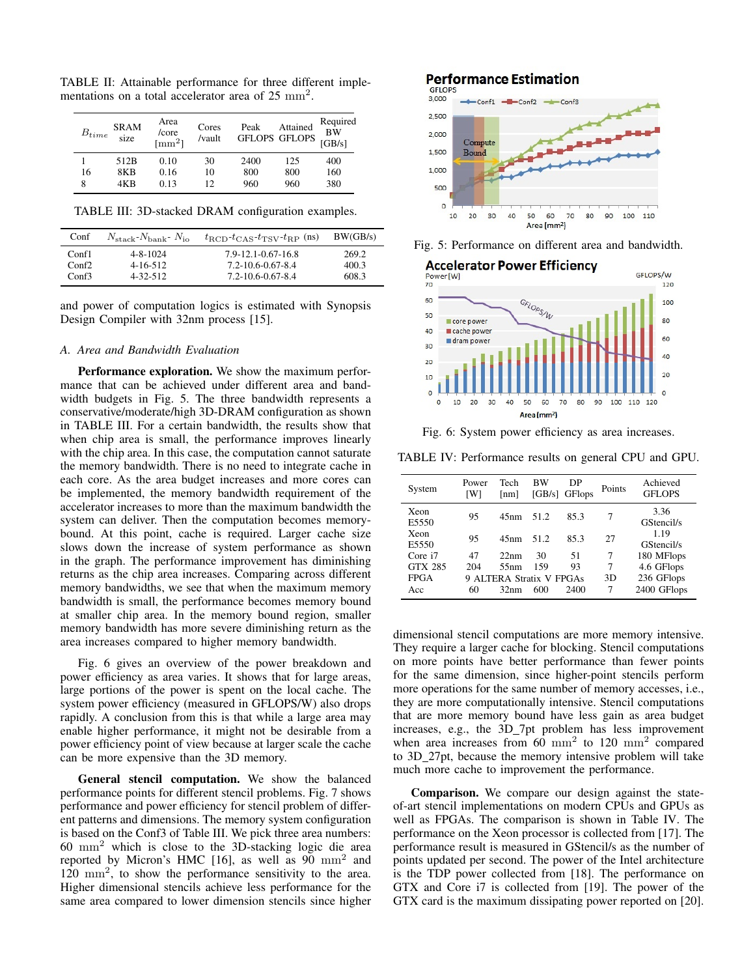TABLE II: Attainable performance for three different implementations on a total accelerator area of  $25 \text{ mm}^2$ .

| $B_{time}$ | <b>SRAM</b><br>size            | Area<br>/core<br>$\mathrm{[mm^2]}$ | Cores<br>/vault | Peak               | Attained<br><b>GFLOPS GFLOPS</b> | Required<br><b>BW</b><br>[GB/s] |
|------------|--------------------------------|------------------------------------|-----------------|--------------------|----------------------------------|---------------------------------|
| 16<br>8    | 512B<br>8KB<br>4K <sub>R</sub> | 0.10<br>0.16<br>0.13               | 30<br>10<br>12  | 2400<br>800<br>960 | 125<br>800<br>960                | 400<br>160<br>380               |

TABLE III: 3D-stacked DRAM configuration examples.

| Conf  | $N_{\text{stack}}$ - $N_{\text{bank}}$ - $N_{\text{io}}$ | $t_{\text{RCD}}$ - $t_{\text{CAS}}$ - $t_{\text{TSV}}$ - $t_{\text{RP}}$ (ns) | BW(GB/s) |
|-------|----------------------------------------------------------|-------------------------------------------------------------------------------|----------|
| Conf1 | $4 - 8 - 1024$                                           | 7.9-12.1-0.67-16.8                                                            | 269.2    |
| Conf2 | $4 - 16 - 512$                                           | 7.2-10.6-0.67-8.4                                                             | 400.3    |
| Conf3 | $4 - 32 - 512$                                           | 7.2-10.6-0.67-8.4                                                             | 608.3    |

and power of computation logics is estimated with Synopsis Design Compiler with 32nm process [15].

#### *A. Area and Bandwidth Evaluation*

Performance exploration. We show the maximum performance that can be achieved under different area and bandwidth budgets in Fig. 5. The three bandwidth represents a conservative/moderate/high 3D-DRAM configuration as shown in TABLE III. For a certain bandwidth, the results show that when chip area is small, the performance improves linearly with the chip area. In this case, the computation cannot saturate the memory bandwidth. There is no need to integrate cache in each core. As the area budget increases and more cores can be implemented, the memory bandwidth requirement of the accelerator increases to more than the maximum bandwidth the system can deliver. Then the computation becomes memorybound. At this point, cache is required. Larger cache size slows down the increase of system performance as shown in the graph. The performance improvement has diminishing returns as the chip area increases. Comparing across different memory bandwidths, we see that when the maximum memory bandwidth is small, the performance becomes memory bound at smaller chip area. In the memory bound region, smaller memory bandwidth has more severe diminishing return as the area increases compared to higher memory bandwidth.

Fig. 6 gives an overview of the power breakdown and power efficiency as area varies. It shows that for large areas, large portions of the power is spent on the local cache. The system power efficiency (measured in GFLOPS/W) also drops rapidly. A conclusion from this is that while a large area may enable higher performance, it might not be desirable from a power efficiency point of view because at larger scale the cache can be more expensive than the 3D memory.

General stencil computation. We show the balanced performance points for different stencil problems. Fig. 7 shows performance and power efficiency for stencil problem of different patterns and dimensions. The memory system configuration is based on the Conf3 of Table III. We pick three area numbers: 60 mm<sup>2</sup> which is close to the 3D-stacking logic die area reported by Micron's HMC [16], as well as  $90 \text{ mm}^2$  and 120 mm<sup>2</sup> , to show the performance sensitivity to the area. Higher dimensional stencils achieve less performance for the same area compared to lower dimension stencils since higher



Fig. 5: Performance on different area and bandwidth.



Fig. 6: System power efficiency as area increases.

TABLE IV: Performance results on general CPU and GPU.

| System        | Power<br>IWI | Tech<br>[nm] | ВW                            | DР<br>[GB/s] GFlops | Points | Achieved<br><b>GFLOPS</b> |
|---------------|--------------|--------------|-------------------------------|---------------------|--------|---------------------------|
| Xeon<br>E5550 | 95           | 45nm         | 51.2                          | 85.3                | 7      | 3.36<br>GStencil/s        |
| Xeon<br>E5550 | 95           | 45nm         | 51.2                          | 85.3                | 27     | 1.19<br>GStencil/s        |
| Core i7       | 47           | 22nm         | 30                            | 51                  | 7      | 180 MFlops                |
| GTX 285       | 204          | 55nm         | 159                           | 93                  | 7      | 4.6 GFlops                |
| <b>FPGA</b>   | 9            |              | <b>ALTERA Stratix V FPGAs</b> |                     | 3D     | 236 GFlops                |
| Acc           | 60           | 32nm         | 600                           | 2400                | 7      | 2400 GFlops               |

dimensional stencil computations are more memory intensive. They require a larger cache for blocking. Stencil computations on more points have better performance than fewer points for the same dimension, since higher-point stencils perform more operations for the same number of memory accesses, i.e., they are more computationally intensive. Stencil computations that are more memory bound have less gain as area budget increases, e.g., the 3D 7pt problem has less improvement when area increases from  $60 \text{ mm}^2$  to  $120 \text{ mm}^2$  compared to 3D 27pt, because the memory intensive problem will take much more cache to improvement the performance.

Comparison. We compare our design against the stateof-art stencil implementations on modern CPUs and GPUs as well as FPGAs. The comparison is shown in Table IV. The performance on the Xeon processor is collected from [17]. The performance result is measured in GStencil/s as the number of points updated per second. The power of the Intel architecture is the TDP power collected from [18]. The performance on GTX and Core i7 is collected from [19]. The power of the GTX card is the maximum dissipating power reported on [20].